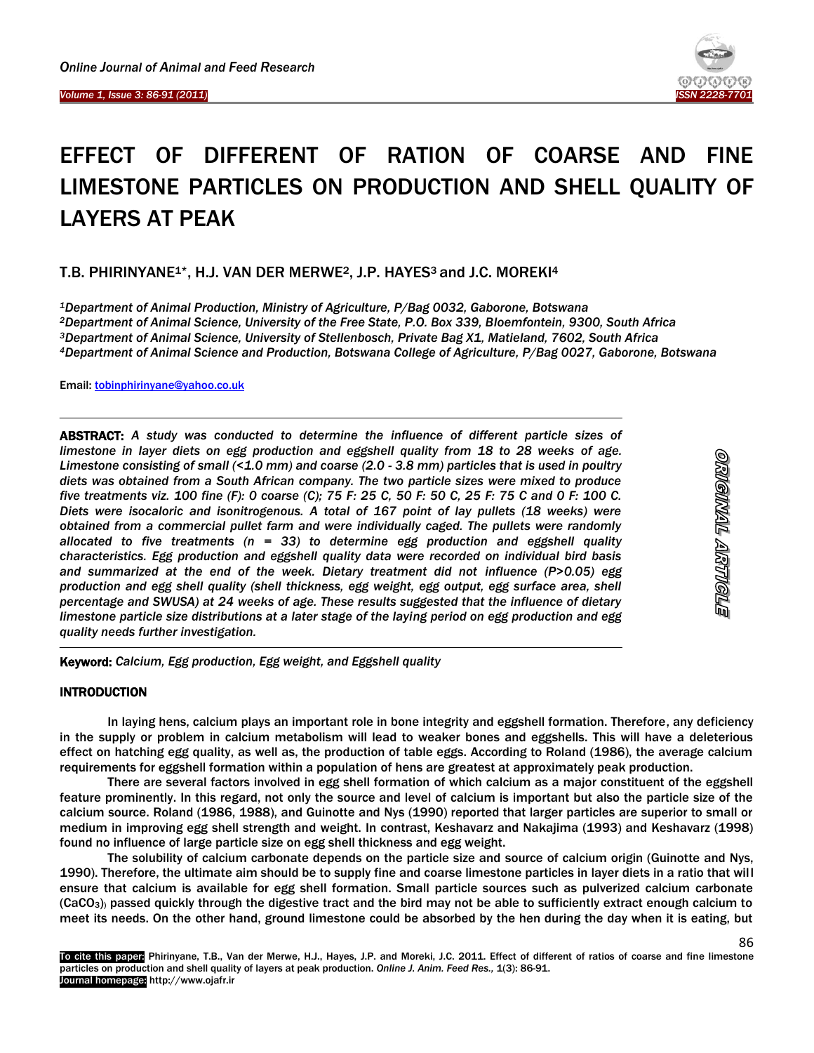

# EFFECT OF DIFFERENT OF RATION OF COARSE AND FINE LIMESTONE PARTICLES ON PRODUCTION AND SHELL QUALITY OF LAYERS AT PEAK

# T.B. PHIRINYANE1\*, H.J. VAN DER MERWE2, J.P. HAYES3 and J.C. MOREKI<sup>4</sup>

*Department of Animal Production, Ministry of Agriculture, P/Bag 0032, Gaborone, Botswana Department of Animal Science, University of the Free State, P.O. Box 339, Bloemfontein, 9300, South Africa Department of Animal Science, University of Stellenbosch, Private Bag X1, Matieland, 7602, South Africa Department of Animal Science and Production, Botswana College of Agriculture, P/Bag 0027, Gaborone, Botswana*

Email[: tobinphirinyane@yahoo.co.uk](mailto:tobinphirinyane@yahoo.co.uk)

ABSTRACT: *A study was conducted to determine the influence of different particle sizes of limestone in layer diets on egg production and eggshell quality from 18 to 28 weeks of age. Limestone consisting of small (<1.0 mm) and coarse (2.0 - 3.8 mm) particles that is used in poultry diets was obtained from a South African company. The two particle sizes were mixed to produce five treatments viz. 100 fine (F): 0 coarse (C); 75 F: 25 C, 50 F: 50 C, 25 F: 75 C and 0 F: 100 C. Diets were isocaloric and isonitrogenous. A total of 167 point of lay pullets (18 weeks) were obtained from a commercial pullet farm and were individually caged. The pullets were randomly allocated to five treatments (n = 33) to determine egg production and eggshell quality characteristics. Egg production and eggshell quality data were recorded on individual bird basis and summarized at the end of the week. Dietary treatment did not influence (P>0.05) egg production and egg shell quality (shell thickness, egg weight, egg output, egg surface area, shell percentage and SWUSA) at 24 weeks of age. These results suggested that the influence of dietary limestone particle size distributions at a later stage of the laying period on egg production and egg quality needs further investigation.*

86

Keyword: *Calcium, Egg production, Egg weight, and Eggshell quality*

# INTRODUCTION

1

In laying hens, calcium plays an important role in bone integrity and eggshell formation. Therefore, any deficiency in the supply or problem in calcium metabolism will lead to weaker bones and eggshells. This will have a deleterious effect on hatching egg quality, as well as, the production of table eggs. According to Roland (1986), the average calcium requirements for eggshell formation within a population of hens are greatest at approximately peak production.

There are several factors involved in egg shell formation of which calcium as a major constituent of the eggshell feature prominently. In this regard, not only the source and level of calcium is important but also the particle size of the calcium source. Roland (1986, 1988), and Guinotte and Nys (1990) reported that larger particles are superior to small or medium in improving egg shell strength and weight. In contrast, Keshavarz and Nakajima (1993) and Keshavarz (1998) found no influence of large particle size on egg shell thickness and egg weight.

The solubility of calcium carbonate depends on the particle size and source of calcium origin (Guinotte and Nys, 1990). Therefore, the ultimate aim should be to supply fine and coarse limestone particles in layer diets in a ratio that will ensure that calcium is available for egg shell formation. Small particle sources such as pulverized calcium carbonate (CaCO3)) passed quickly through the digestive tract and the bird may not be able to sufficiently extract enough calcium to meet its needs. On the other hand, ground limestone could be absorbed by the hen during the day when it is eating, but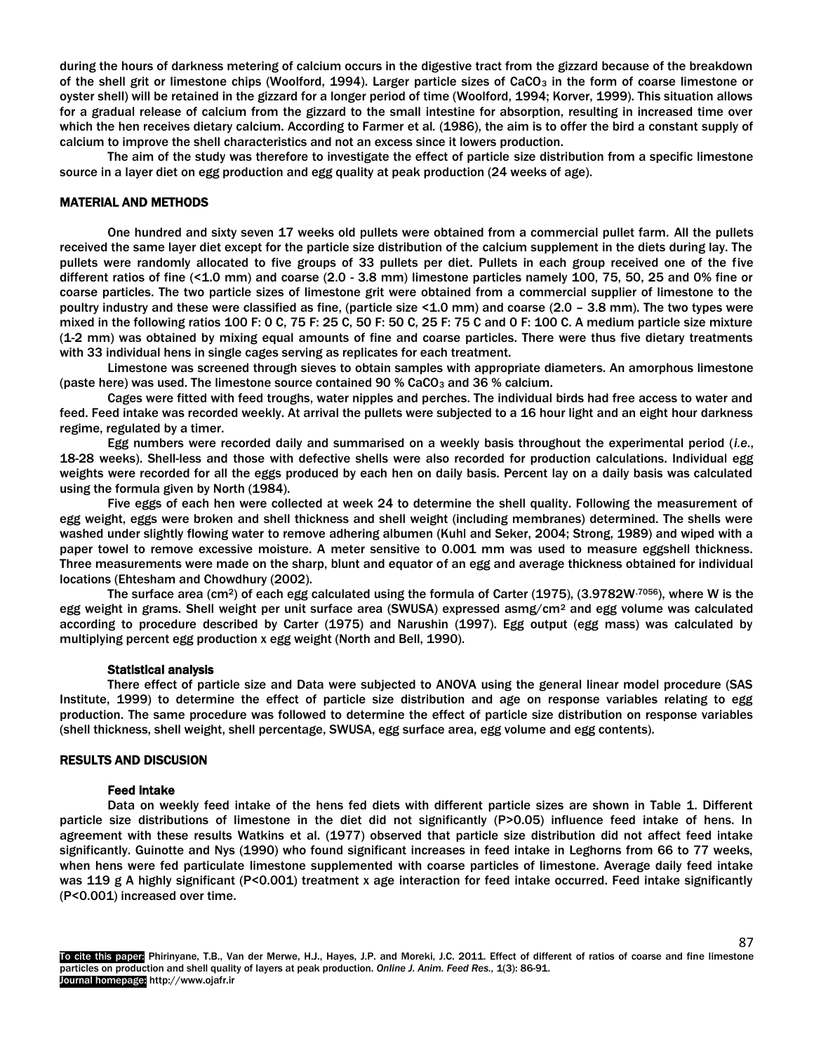during the hours of darkness metering of calcium occurs in the digestive tract from the gizzard because of the breakdown of the shell grit or limestone chips (Woolford, 1994). Larger particle sizes of CaCO<sub>3</sub> in the form of coarse limestone or oyster shell) will be retained in the gizzard for a longer period of time (Woolford, 1994; Korver, 1999). This situation allows for a gradual release of calcium from the gizzard to the small intestine for absorption, resulting in increased time over which the hen receives dietary calcium. According to Farmer et al*.* (1986), the aim is to offer the bird a constant supply of calcium to improve the shell characteristics and not an excess since it lowers production.

The aim of the study was therefore to investigate the effect of particle size distribution from a specific limestone source in a layer diet on egg production and egg quality at peak production (24 weeks of age).

#### MATERIAL AND METHODS

One hundred and sixty seven 17 weeks old pullets were obtained from a commercial pullet farm. All the pullets received the same layer diet except for the particle size distribution of the calcium supplement in the diets during lay. The pullets were randomly allocated to five groups of 33 pullets per diet. Pullets in each group received one of the five different ratios of fine (<1.0 mm) and coarse (2.0 - 3.8 mm) limestone particles namely 100, 75, 50, 25 and 0% fine or coarse particles. The two particle sizes of limestone grit were obtained from a commercial supplier of limestone to the poultry industry and these were classified as fine, (particle size <1.0 mm) and coarse (2.0 – 3.8 mm). The two types were mixed in the following ratios 100 F: 0 C, 75 F: 25 C, 50 F: 50 C, 25 F: 75 C and 0 F: 100 C. A medium particle size mixture (1-2 mm) was obtained by mixing equal amounts of fine and coarse particles. There were thus five dietary treatments with 33 individual hens in single cages serving as replicates for each treatment.

Limestone was screened through sieves to obtain samples with appropriate diameters. An amorphous limestone (paste here) was used. The limestone source contained 90 % CaCO<sub>3</sub> and 36 % calcium.

Cages were fitted with feed troughs, water nipples and perches. The individual birds had free access to water and feed. Feed intake was recorded weekly. At arrival the pullets were subjected to a 16 hour light and an eight hour darkness regime, regulated by a timer.

Egg numbers were recorded daily and summarised on a weekly basis throughout the experimental period (*i.e*., 18-28 weeks). Shell-less and those with defective shells were also recorded for production calculations. Individual egg weights were recorded for all the eggs produced by each hen on daily basis. Percent lay on a daily basis was calculated using the formula given by North (1984).

Five eggs of each hen were collected at week 24 to determine the shell quality. Following the measurement of egg weight, eggs were broken and shell thickness and shell weight (including membranes) determined. The shells were washed under slightly flowing water to remove adhering albumen (Kuhl and Seker, 2004; Strong, 1989) and wiped with a paper towel to remove excessive moisture. A meter sensitive to 0.001 mm was used to measure eggshell thickness. Three measurements were made on the sharp, blunt and equator of an egg and average thickness obtained for individual locations (Ehtesham and Chowdhury (2002).

The surface area (cm2) of each egg calculated using the formula of Carter (1975), (3.9782W.7056), where W is the egg weight in grams. Shell weight per unit surface area (SWUSA) expressed asmg/cm<sup>2</sup> and egg volume was calculated according to procedure described by Carter (1975) and Narushin (1997). Egg output (egg mass) was calculated by multiplying percent egg production x egg weight (North and Bell, 1990).

#### Statistical analysis

There effect of particle size and Data were subjected to ANOVA using the general linear model procedure (SAS Institute, 1999) to determine the effect of particle size distribution and age on response variables relating to egg production. The same procedure was followed to determine the effect of particle size distribution on response variables (shell thickness, shell weight, shell percentage, SWUSA, egg surface area, egg volume and egg contents).

# RESULTS AND DISCUSION

#### Feed intake

Data on weekly feed intake of the hens fed diets with different particle sizes are shown in Table 1. Different particle size distributions of limestone in the diet did not significantly (P>0.05) influence feed intake of hens. In agreement with these results Watkins et al. (1977) observed that particle size distribution did not affect feed intake significantly. Guinotte and Nys (1990) who found significant increases in feed intake in Leghorns from 66 to 77 weeks, when hens were fed particulate limestone supplemented with coarse particles of limestone. Average daily feed intake was 119 g A highly significant (P<0.001) treatment x age interaction for feed intake occurred. Feed intake significantly (P<0.001) increased over time.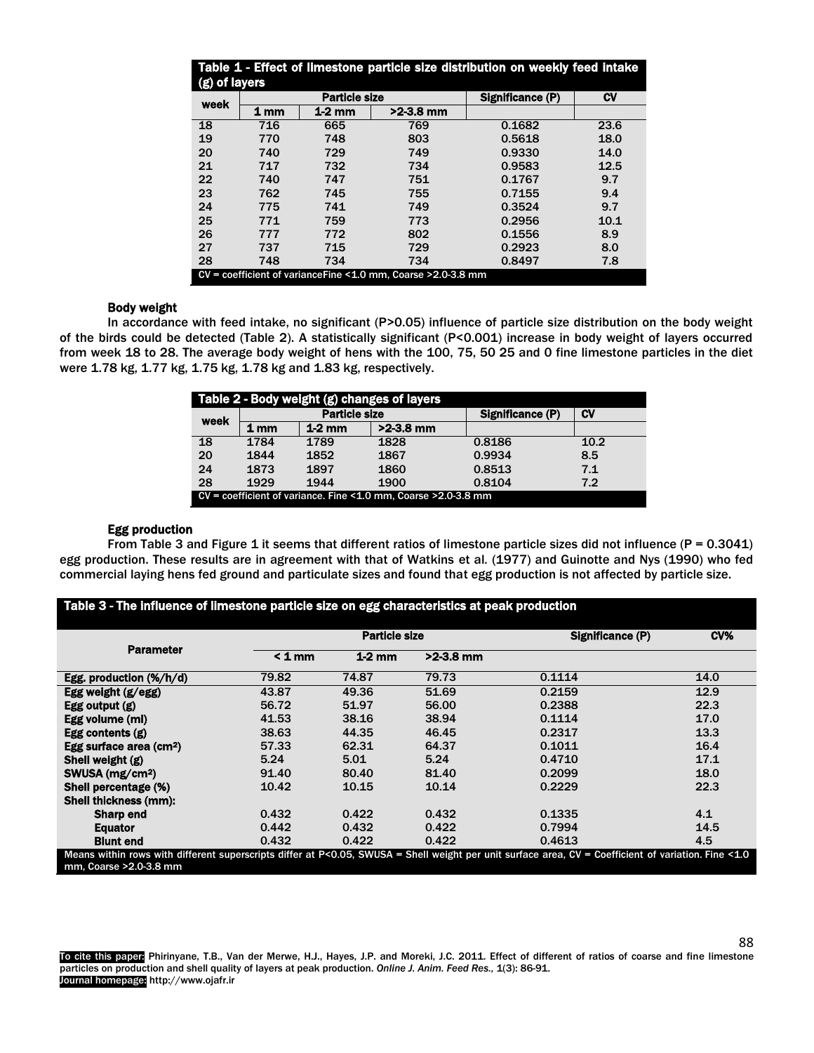| Table 1 - Effect of limestone particle size distribution on weekly feed intake<br>(g) of layers |                                                                    |                      |             |                  |           |  |
|-------------------------------------------------------------------------------------------------|--------------------------------------------------------------------|----------------------|-------------|------------------|-----------|--|
|                                                                                                 |                                                                    | <b>Particle size</b> |             | Significance (P) | <b>CV</b> |  |
| week                                                                                            | 1 <sub>mm</sub>                                                    | $1-2$ mm             | $>2-3.8$ mm |                  |           |  |
| 18                                                                                              | 716                                                                | 665                  | 769         | 0.1682           | 23.6      |  |
| 19                                                                                              | 770                                                                | 748                  | 803         | 0.5618           | 18.0      |  |
| 20                                                                                              | 740                                                                | 729                  | 749         | 0.9330           | 14.0      |  |
| 21                                                                                              | 717                                                                | 732                  | 734         | 0.9583           | 12.5      |  |
| 22                                                                                              | 740                                                                | 747                  | 751         | 0.1767           | 9.7       |  |
| 23                                                                                              | 762                                                                | 745                  | 755         | 0.7155           | 9.4       |  |
| 24                                                                                              | 775                                                                | 741                  | 749         | 0.3524           | 9.7       |  |
| 25                                                                                              | 771                                                                | 759                  | 773         | 0.2956           | 10.1      |  |
| 26                                                                                              | 777                                                                | 772                  | 802         | 0.1556           | 8.9       |  |
| 27                                                                                              | 737                                                                | 715                  | 729         | 0.2923           | 8.0       |  |
| 28                                                                                              | 748                                                                | 734                  | 734         | 0.8497           | 7.8       |  |
|                                                                                                 | $CV = coefficient of variance Fine < 1.0 mm$ . Coarse > 2.0-3.8 mm |                      |             |                  |           |  |

### Body weight

In accordance with feed intake, no significant (P>0.05) influence of particle size distribution on the body weight of the birds could be detected (Table 2). A statistically significant (P<0.001) increase in body weight of layers occurred from week 18 to 28. The average body weight of hens with the 100, 75, 50 25 and 0 fine limestone particles in the diet were 1.78 kg, 1.77 kg, 1.75 kg, 1.78 kg and 1.83 kg, respectively.

| Table 2 - Body weight (g) changes of layers |                      |          |                                                                               |                  |      |  |  |
|---------------------------------------------|----------------------|----------|-------------------------------------------------------------------------------|------------------|------|--|--|
| week                                        | <b>Particle size</b> |          |                                                                               | Significance (P) | C۷   |  |  |
|                                             | 1 mm                 | $1-2$ mm | $>2-3.8$ mm                                                                   |                  |      |  |  |
| 18                                          | 1784                 | 1789     | 1828                                                                          | 0.8186           | 10.2 |  |  |
| 20                                          | 1844                 | 1852     | 1867                                                                          | 0.9934           | 8.5  |  |  |
| 24                                          | 1873                 | 1897     | 1860                                                                          | 0.8513           | 7.1  |  |  |
| 28                                          | 1929                 | 1944     | 1900                                                                          | 0.8104           | 7.2  |  |  |
|                                             |                      |          | $CV = coefficient of variance.$ Fine $\leq 1.0$ mm, Coarse $\geq 2.0$ -3.8 mm |                  |      |  |  |

# Egg production

From Table 3 and Figure 1 it seems that different ratios of limestone particle sizes did not influence ( $P = 0.3041$ ) egg production. These results are in agreement with that of Watkins et al*.* (1977) and Guinotte and Nys (1990) who fed commercial laying hens fed ground and particulate sizes and found that egg production is not affected by particle size.

|                                       | Particle size |          |             | Significance (P) | CV%  |
|---------------------------------------|---------------|----------|-------------|------------------|------|
| <b>Parameter</b>                      | $< 1$ mm      | $1-2$ mm | $>2.3.8$ mm |                  |      |
| Egg. production $(\frac{1}{2} / h/d)$ | 79.82         | 74.87    | 79.73       | 0.1114           | 14.0 |
| Egg weight $(g/egg)$                  | 43.87         | 49.36    | 51.69       | 0.2159           | 12.9 |
| Egg output $(g)$                      | 56.72         | 51.97    | 56.00       | 0.2388           | 22.3 |
| Egg volume (ml)                       | 41.53         | 38.16    | 38.94       | 0.1114           | 17.0 |
| Egg contents $(g)$                    | 38.63         | 44.35    | 46.45       | 0.2317           | 13.3 |
| Egg surface area (cm <sup>2</sup> )   | 57.33         | 62.31    | 64.37       | 0.1011           | 16.4 |
| Shell weight (g)                      | 5.24          | 5.01     | 5.24        | 0.4710           | 17.1 |
| SWUSA (mg/cm <sup>2</sup> )           | 91.40         | 80.40    | 81.40       | 0.2099           | 18.0 |
| Shell percentage (%)                  | 10.42         | 10.15    | 10.14       | 0.2229           | 22.3 |
| Shell thickness (mm):                 |               |          |             |                  |      |
| <b>Sharp end</b>                      | 0.432         | 0.422    | 0.432       | 0.1335           | 4.1  |
| <b>Equator</b>                        | 0.442         | 0.432    | 0.422       | 0.7994           | 14.5 |
| <b>Blunt end</b>                      | 0.432         | 0.422    | 0.422       | 0.4613           | 4.5  |

To cite this paper: Phirinyane, T.B., Van der Merwe, H.J., Hayes, J.P. and Moreki, J.C. 2011. Effect of different of ratios of coarse and fine limestone particles on production and shell quality of layers at peak production. *Online J. Anim. Feed Res.,* 1(3): 86-91. Journal homepage: http://www.ojafr.ir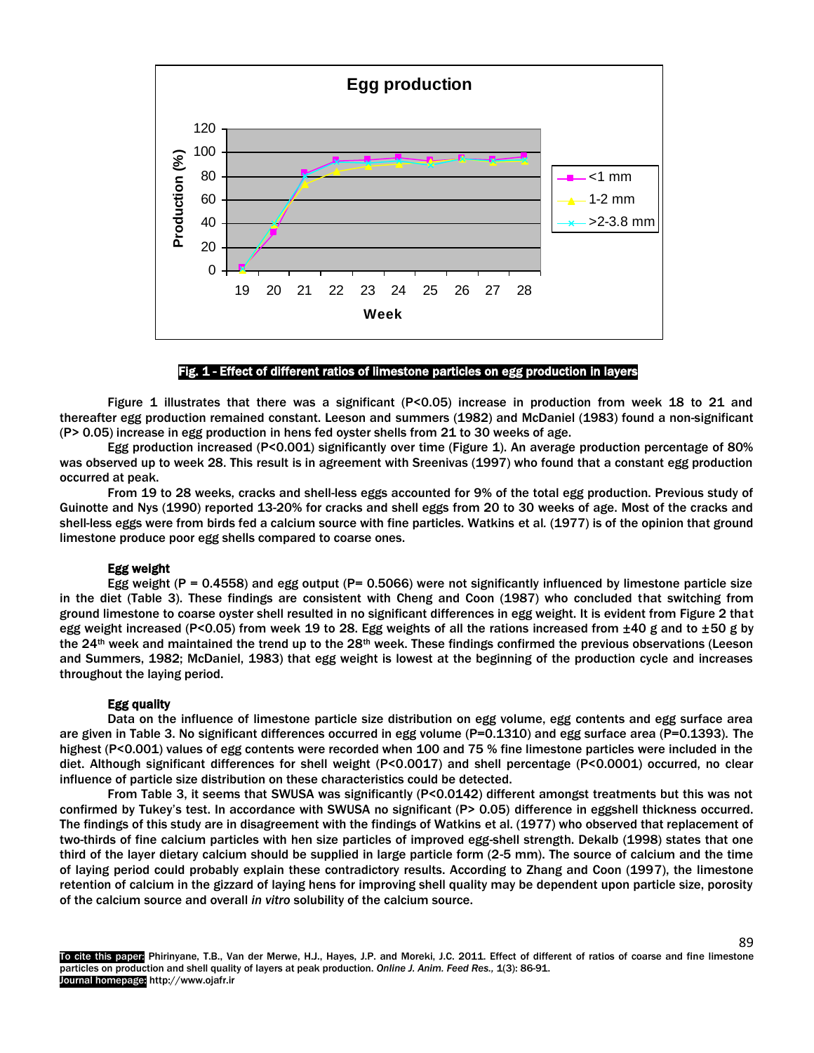

# Fig. 1 - Effect of different ratios of limestone particles on egg production in layers

Figure 1 illustrates that there was a significant (P<0.05) increase in production from week 18 to 21 and thereafter egg production remained constant. Leeson and summers (1982) and McDaniel (1983) found a non-significant (P> 0.05) increase in egg production in hens fed oyster shells from 21 to 30 weeks of age.

Egg production increased (P<0.001) significantly over time (Figure 1). An average production percentage of 80% was observed up to week 28. This result is in agreement with Sreenivas (1997) who found that a constant egg production occurred at peak.

From 19 to 28 weeks, cracks and shell-less eggs accounted for 9% of the total egg production. Previous study of Guinotte and Nys (1990) reported 13-20% for cracks and shell eggs from 20 to 30 weeks of age. Most of the cracks and shell-less eggs were from birds fed a calcium source with fine particles. Watkins et al*.* (1977) is of the opinion that ground limestone produce poor egg shells compared to coarse ones.

### Egg weight

Egg weight ( $P = 0.4558$ ) and egg output ( $P = 0.5066$ ) were not significantly influenced by limestone particle size in the diet (Table 3). These findings are consistent with Cheng and Coon (1987) who concluded that switching from ground limestone to coarse oyster shell resulted in no significant differences in egg weight. It is evident from Figure 2 that egg weight increased (P<0.05) from week 19 to 28. Egg weights of all the rations increased from  $\pm 40$  g and to  $\pm 50$  g by the 24<sup>th</sup> week and maintained the trend up to the 28<sup>th</sup> week. These findings confirmed the previous observations (Leeson and Summers, 1982; McDaniel, 1983) that egg weight is lowest at the beginning of the production cycle and increases throughout the laying period.

#### Egg quality

Data on the influence of limestone particle size distribution on egg volume, egg contents and egg surface area are given in Table 3. No significant differences occurred in egg volume (P=0.1310) and egg surface area (P=0.1393). The highest (P<0.001) values of egg contents were recorded when 100 and 75 % fine limestone particles were included in the diet. Although significant differences for shell weight (P<0.0017) and shell percentage (P<0.0001) occurred, no clear influence of particle size distribution on these characteristics could be detected.

From Table 3, it seems that SWUSA was significantly (P<0.0142) different amongst treatments but this was not confirmed by Tukey's test. In accordance with SWUSA no significant (P> 0.05) difference in eggshell thickness occurred. The findings of this study are in disagreement with the findings of Watkins et al. (1977) who observed that replacement of two-thirds of fine calcium particles with hen size particles of improved egg-shell strength. Dekalb (1998) states that one third of the layer dietary calcium should be supplied in large particle form (2-5 mm). The source of calcium and the time of laying period could probably explain these contradictory results. According to Zhang and Coon (1997), the limestone retention of calcium in the gizzard of laying hens for improving shell quality may be dependent upon particle size, porosity of the calcium source and overall *in vitro* solubility of the calcium source.

89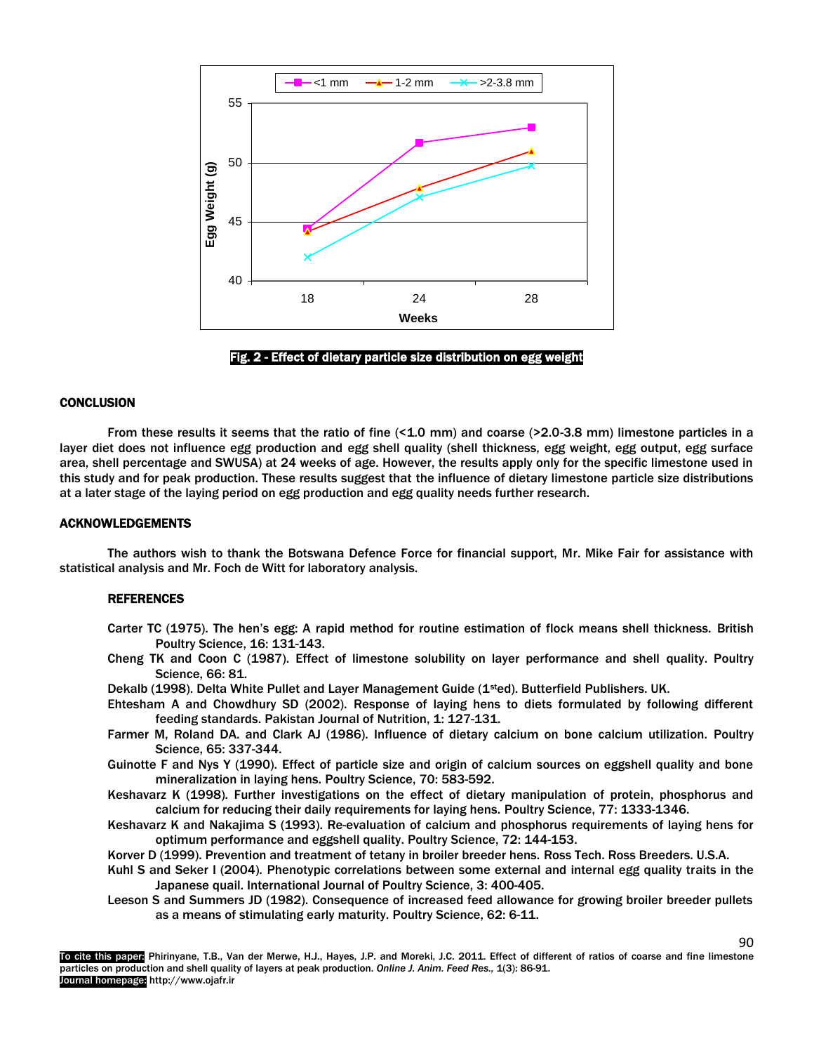



# **CONCLUSION**

From these results it seems that the ratio of fine (<1.0 mm) and coarse (>2.0-3.8 mm) limestone particles in a layer diet does not influence egg production and egg shell quality (shell thickness, egg weight, egg output, egg surface area, shell percentage and SWUSA) at 24 weeks of age. However, the results apply only for the specific limestone used in this study and for peak production. These results suggest that the influence of dietary limestone particle size distributions at a later stage of the laying period on egg production and egg quality needs further research.

#### ACKNOWLEDGEMENTS

The authors wish to thank the Botswana Defence Force for financial support, Mr. Mike Fair for assistance with statistical analysis and Mr. Foch de Witt for laboratory analysis.

# **REFERENCES**

- Carter TC (1975). The hen's egg: A rapid method for routine estimation of flock means shell thickness. British Poultry Science, 16: 131-143.
- Cheng TK and Coon C (1987). Effect of limestone solubility on layer performance and shell quality. Poultry Science, 66: 81.
- Dekalb (1998). Delta White Pullet and Layer Management Guide (1<sup>st</sup>ed). Butterfield Publishers. UK.
- Ehtesham A and Chowdhury SD (2002). Response of laying hens to diets formulated by following different feeding standards. Pakistan Journal of Nutrition, 1: 127-131.
- Farmer M, Roland DA. and Clark AJ (1986). Influence of dietary calcium on bone calcium utilization. Poultry Science, 65: 337-344.
- Guinotte F and Nys Y (1990). Effect of particle size and origin of calcium sources on eggshell quality and bone mineralization in laying hens. Poultry Science, 70: 583-592.
- Keshavarz K (1998). Further investigations on the effect of dietary manipulation of protein, phosphorus and calcium for reducing their daily requirements for laying hens. Poultry Science, 77: 1333-1346.
- Keshavarz K and Nakajima S (1993). Re-evaluation of calcium and phosphorus requirements of laying hens for optimum performance and eggshell quality. Poultry Science, 72: 144-153.
- Korver D (1999). Prevention and treatment of tetany in broiler breeder hens. Ross Tech. Ross Breeders. U.S.A.
- Kuhl S and Seker I (2004). Phenotypic correlations between some external and internal egg quality traits in the Japanese quail. International Journal of Poultry Science, 3: 400-405.
- Leeson S and Summers JD (1982). Consequence of increased feed allowance for growing broiler breeder pullets as a means of stimulating early maturity. Poultry Science, 62: 6-11.

To cite this paper: Phirinyane, T.B., Van der Merwe, H.J., Hayes, J.P. and Moreki, J.C. 2011. Effect of different of ratios of coarse and fine limestone particles on production and shell quality of layers at peak production. *Online J. Anim. Feed Res.,* 1(3): 86-91. Journal homepage: http://www.ojafr.ir